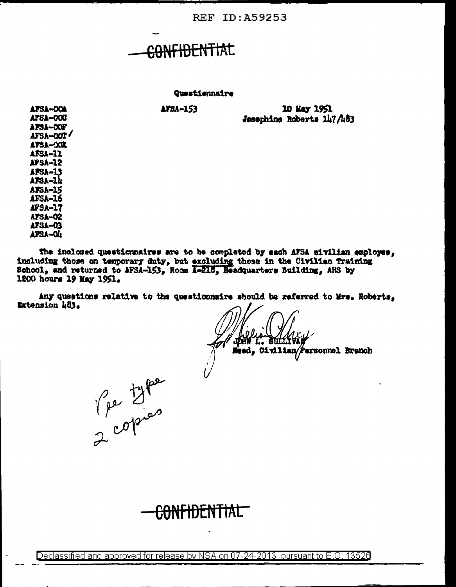**REF ID: A59253** 

# CONFIDENTIAL

Questiennaire

**AFSA-153** 

10 May 1951 Josephine Roberts 147/483

APSA-OOA **AFSA-008** AFSA-OOF AFSA-OOT **APSA-001 AFSA-11 APSA-12 AFSA-13** AFSA-1h **AFSA-15 AFSA-16 APSA-17 AFSA-02 AFSA-03** AFSA-OL

The inclosed questionnaires are to be completed by each AFSA civilian employee, including those on temporary duty, but excluding those in the Civilian Training School, and returned to AFSA-153, Room A-218, Hendquarters Building, AHS by 1200 hours 19 May 1951.

Any questions relative to the questionnaire should be referred to Mrs. Roberts, Extension 483.

ed, Civilian/Personnel Branch

Vie type

<del>ANFIDENTIAL</del>

Declassified and approved for release by NSA on 07-24-2013 pursuant to E.O. 13520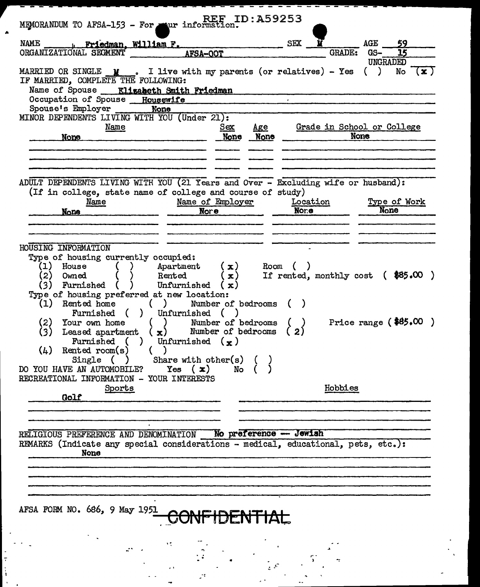| MEMORANDUM TO AFSA-153 - For war information.                                                                                                                                                                                                                                                                                                                                                                                                                                                                                                                                                           | <b>REF ID: A59253</b>                             |                                                          |                        |                                                         |                       |  |
|---------------------------------------------------------------------------------------------------------------------------------------------------------------------------------------------------------------------------------------------------------------------------------------------------------------------------------------------------------------------------------------------------------------------------------------------------------------------------------------------------------------------------------------------------------------------------------------------------------|---------------------------------------------------|----------------------------------------------------------|------------------------|---------------------------------------------------------|-----------------------|--|
| NAME ________ Friedman, William F.<br>ORGANIZATIONAL SECMENT AFSA-OOT                                                                                                                                                                                                                                                                                                                                                                                                                                                                                                                                   |                                                   | SEX                                                      | <b>GRADE:</b>          | AGE<br>GS-                                              | 59<br>$\overline{15}$ |  |
| MARRIED OR SINGLE $\mathbf{y}$ . I live with my parents (or relatives) - Yes<br>IF MARRIED, COMPLETE THE FOLLOWING:<br>Name of Spouse ___ Elizabeth Smith Friedman<br>Occupation of Spouse Housewife<br>Spouse's Employer None                                                                                                                                                                                                                                                                                                                                                                          |                                                   |                                                          |                        | UNGRADED<br>$\left(\begin{array}{c} \end{array}\right)$ | No $(\mathbf{x})$     |  |
| MINOR DEPENDENTS LIVING WITH YOU (Under 21):<br>Name<br>None                                                                                                                                                                                                                                                                                                                                                                                                                                                                                                                                            | $\mathbf{Age}$<br><u>Sex</u><br>None None         | Grade in School or College                               | <b>None</b>            |                                                         |                       |  |
| ADULT DEPENDENTS LIVING WITH YOU (21 Years and Over - Excluding wife or husband):<br>(If in college, state name of college and course of study)<br>Name of Employer<br>Name<br>None                                                                                                                                                                                                                                                                                                                                                                                                                     | $N$ ore                                           | <u>Location</u><br>Nor.e                                 |                        | Type of Work<br>None                                    |                       |  |
| HOUSING INFORMATION<br>Type of housing currently occupied:<br>(1)<br>House<br>) Apartment<br>(2)<br>Rented<br>Owned<br>(3)<br>Unfurnished $(x)$<br><b>Furnished</b> (<br>Type of housing preferred at new location:<br>( ) Number of bedrooms<br>(1) Rented home<br>Furnished ( ) Unfurnished (<br>$(2)^{-}$<br>Your own home<br>( )<br>(3)<br>Leased apartment $(x)$ Number of bedrooms<br>Furnished ( )<br>Unfurnished $(\kappa)$<br>(4)<br>Rented room(s)<br>Single $( )$ Share with other(s) $( )$<br>DO YOU HAVE AN AUTOMOBILE?<br>Yes $(\mathbf{x})$<br>RECREATIONAL INFORMATION - YOUR INTERESTS | (x)<br>$(\mathbf{x})$<br>Number of bedrooms<br>No | Room (<br>If rented, monthly cost $($ \$85.00 $)$<br>(2) | Price range $(*85,00)$ |                                                         |                       |  |
| Sports<br>Golf                                                                                                                                                                                                                                                                                                                                                                                                                                                                                                                                                                                          |                                                   |                                                          | Hobbies                |                                                         |                       |  |
| RELIGIOUS PREFERENCE AND DENOMINATION No preference - Jewish<br>REMARKS (Indicate any special considerations - medical, educational, pets, etc.):<br>None<br>AFSA FORM NO. 686, 9 May 1951                                                                                                                                                                                                                                                                                                                                                                                                              | TAC                                               |                                                          |                        |                                                         |                       |  |
|                                                                                                                                                                                                                                                                                                                                                                                                                                                                                                                                                                                                         |                                                   |                                                          |                        |                                                         |                       |  |

A

医中间性 医单位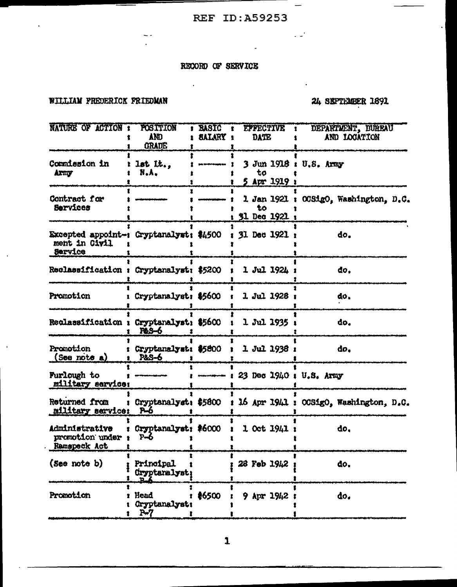$\overline{a}$ 

 $\overline{\phantom{m}}$ 

 $\sim 10^6$ 

### RECORD OF SERVICE

 $\sim$   $\sim$ 

#### WILLIAM PREDERICK FRIEDMAN

 $\bar{1}$ 

 $\bar{1}$ 

## 24 SEPTEMBER 1891

| NATURE OF ACTION :                                                  | <b>POSITION</b><br>AND<br><b>GRADE</b> | <b>BASIC</b><br><b>SALARY :</b>  | <b>EFFECTIVE</b><br>₹.<br><b>DATE</b>        | DEPARTMENT, DUREAU<br>AND LOCATION                            |
|---------------------------------------------------------------------|----------------------------------------|----------------------------------|----------------------------------------------|---------------------------------------------------------------|
| <b>Commission in</b><br>Arny                                        | lst It<br>N.A.                         | gala terdes arganyaya            | 3 Jun 1918 : U.S. Army<br>to<br>5 Apr 1919 : |                                                               |
| Contract for<br>Services                                            |                                        |                                  | 1 Jan 1921 :<br>to<br>31 Dec 1921 :          | OCSigO, Washington, D.C.                                      |
| Excepted appoint-: Cryptanalyst: \$4500<br>ment in Civil<br>Service |                                        |                                  | 31 Dec 1921 :                                | do.                                                           |
| Reclassification : Cryptanalyst: \$5200                             |                                        |                                  | 1 Jul 1924 :                                 | đo,                                                           |
| Promotion                                                           | Cryptanalyst: \$5600                   |                                  | 1 Jul 1928 :                                 | do.                                                           |
| Reclassification : Cryptanalyst: \$5600                             | <b>P&amp;S-6</b>                       |                                  | 1 Jul 1935                                   | đo,                                                           |
| Promotion<br>$($ See note a $)$                                     | Cryptanalyst: \$5800<br>P&S-6          |                                  | 1 Jul 1938 :                                 | do.                                                           |
| <b>Furlough to</b><br>military service:                             |                                        | <del>tooperate algebra (al</del> | 23 Dec 1940 : U.S. Army                      |                                                               |
| Returned from<br>military service:                                  | P-6                                    |                                  |                                              | Cryptanalyst: \$5800 : 16 Apr 1941 : OCSigO, Washington, D.C. |
| Administrative<br>promotion under<br>Ramspeck Act                   | Cryptanalyst: #6000<br>$P - 6$         |                                  | $1$ Oct $1941:$                              | do.                                                           |
| (See note b)                                                        | Principal<br>Oryptanalyst              |                                  | 28 Feb 1942                                  | do.                                                           |
| Promotion                                                           | Head<br>Gryptanalyst:<br>P+7           | <b>≹6500</b>                     | $9$ Apr $1942$                               | do.                                                           |

 $\mathbf{1}$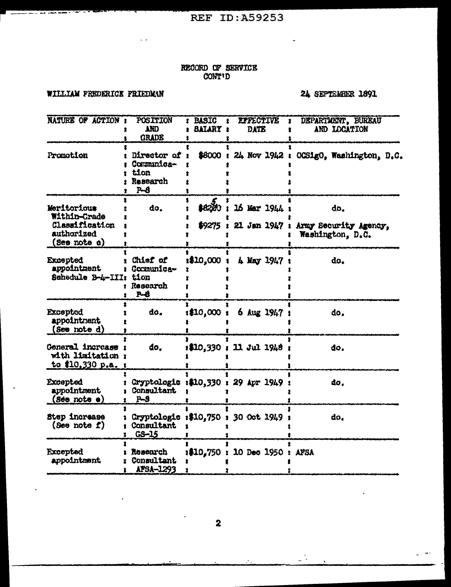#### RECORD OF SERVICE CONT'D

## WILLIAM PREDERICK FRIEDMAN

 $\sim$   $\sim$ 

 $\overline{1}$  and  $\overline{1}$  and  $\overline{1}$  and  $\overline{1}$ 

## 24 SEPTEMBER 1891

 $\overline{a}$ 

 $\mathbb{Z}^{\frac{1}{2}}$ 

 $\sim$ 

 $\mathcal{L}$ 

| <b>NATURE OF ACTION:</b>                                                    | POSITION<br>AND<br><b>GRADE</b>                        | <b>BASIC</b><br><b>SALARY:</b> | <b>LIFECTIVE</b><br><b>DATE</b>       | DEPARTMENT, BUREAU<br>ı<br>AND LOCATION                               |
|-----------------------------------------------------------------------------|--------------------------------------------------------|--------------------------------|---------------------------------------|-----------------------------------------------------------------------|
| Promotion                                                                   | Director of<br>Communica-<br>tion<br>Research<br>$P-8$ |                                |                                       | \$8000 : 24 Nov 1942 : OCSigO, Washington, D.C.                       |
| Meritorious<br>Within-Crade<br>Classification<br>authorized<br>(See note d) | do.                                                    | \$8220                         | 16 Mar 1944 :                         | do.<br>\$9275: 21 Jan 1947: Army Security Agency,<br>Washington, D.C. |
| <b>Excepted</b><br>appointment<br>Schedule B-4-III: tion                    | Chief of<br>: Comunica-<br>: Research<br><b>P-6</b>    | :\$10,000                      | 4 May 1947:                           | do.                                                                   |
| <b>Excepted</b><br>appointment<br>(See note d)                              | do.                                                    | :10,000:                       | 6 Aug 1947 :                          | do.                                                                   |
| General increase :<br>with limitation :<br>to \$10,330 p.a. :               | do.                                                    |                                | : 10.330 : 11.3u1.1948 :              | đo.                                                                   |
| <b>Excepted</b><br>appointment<br>$(80 - not \cdot)$                        | Consultant<br>$P-S$                                    |                                | Cryptologic :\$10,330 : 29 Apr 1949 : | do.                                                                   |
| Step increase<br>(See note f)                                               | Consultant<br>$G-S-15$                                 |                                | Cryptologie :\$10,750 : 30 Oct 1949 : | do,                                                                   |
| <b>Excepted</b><br>appointment                                              | : Research<br>Consultant<br>AFSA-1293                  |                                | 1\$10,750 : 10 Dec 1950 : AFSA        |                                                                       |

 $\mathcal{N}_{\mathrm{in}}$